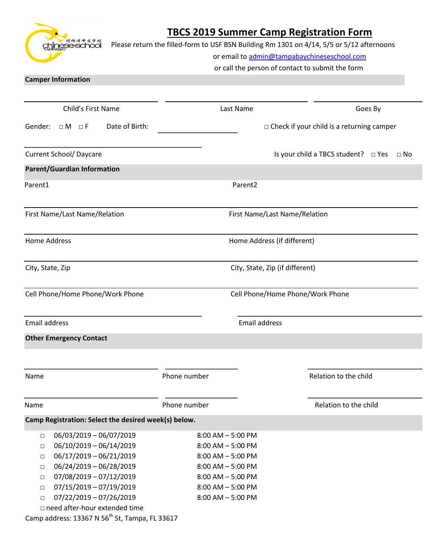# **TBCS 2019 Summer Camp Registration Form**

chineseschool

Please return the filled-form to USF BSN Building Rm 1301 on 4/14, 5/5 or 5/12 afternoons

or email to [admin@tampabaychineseschool.com](mailto:admin@tampabaychineseschool.com)

or call the person of contact to submit the form

### **Camper Information**

| Child's First Name                                                                                                                                                                                                                                                                                                                                                 | Last Name                                                                                                                                                            | Goes By                                               |  |
|--------------------------------------------------------------------------------------------------------------------------------------------------------------------------------------------------------------------------------------------------------------------------------------------------------------------------------------------------------------------|----------------------------------------------------------------------------------------------------------------------------------------------------------------------|-------------------------------------------------------|--|
| Date of Birth:<br>Gender:<br>$\Box M$ $\Box F$                                                                                                                                                                                                                                                                                                                     | $\Box$ Check if your child is a returning camper                                                                                                                     |                                                       |  |
| <b>Current School/ Daycare</b>                                                                                                                                                                                                                                                                                                                                     |                                                                                                                                                                      | Is your child a TBCS student? $\Box$ Yes<br>$\Box$ No |  |
| <b>Parent/Guardian Information</b>                                                                                                                                                                                                                                                                                                                                 |                                                                                                                                                                      |                                                       |  |
| Parent1                                                                                                                                                                                                                                                                                                                                                            | Parent <sub>2</sub>                                                                                                                                                  |                                                       |  |
| First Name/Last Name/Relation                                                                                                                                                                                                                                                                                                                                      | First Name/Last Name/Relation                                                                                                                                        |                                                       |  |
| <b>Home Address</b>                                                                                                                                                                                                                                                                                                                                                | Home Address (if different)                                                                                                                                          |                                                       |  |
| City, State, Zip                                                                                                                                                                                                                                                                                                                                                   | City, State, Zip (if different)                                                                                                                                      |                                                       |  |
| Cell Phone/Home Phone/Work Phone                                                                                                                                                                                                                                                                                                                                   | Cell Phone/Home Phone/Work Phone                                                                                                                                     |                                                       |  |
| Email address                                                                                                                                                                                                                                                                                                                                                      | <b>Email address</b>                                                                                                                                                 |                                                       |  |
| <b>Other Emergency Contact</b>                                                                                                                                                                                                                                                                                                                                     |                                                                                                                                                                      |                                                       |  |
| Name                                                                                                                                                                                                                                                                                                                                                               | Phone number                                                                                                                                                         | Relation to the child                                 |  |
| Name                                                                                                                                                                                                                                                                                                                                                               | Phone number                                                                                                                                                         | Relation to the child                                 |  |
| Camp Registration: Select the desired week(s) below.                                                                                                                                                                                                                                                                                                               |                                                                                                                                                                      |                                                       |  |
| 06/03/2019 - 06/07/2019<br>$\Box$<br>06/10/2019 - 06/14/2019<br>$\Box$<br>06/17/2019 - 06/21/2019<br>$\Box$<br>06/24/2019 - 06/28/2019<br>$\Box$<br>07/08/2019 - 07/12/2019<br>$\Box$<br>07/15/2019 - 07/19/2019<br>$\Box$<br>$07/22/2019 - 07/26/2019$<br>$\Box$<br>□ need after-hour extended time<br>Camp address: 13367 N 56 <sup>th</sup> St, Tampa, FL 33617 | $8:00$ AM $-5:00$ PM<br>$8:00$ AM $-5:00$ PM<br>$8:00$ AM $-5:00$ PM<br>$8:00$ AM $-5:00$ PM<br>$8:00$ AM $-5:00$ PM<br>$8:00$ AM $-5:00$ PM<br>$8:00$ AM $-5:00$ PM |                                                       |  |
|                                                                                                                                                                                                                                                                                                                                                                    |                                                                                                                                                                      |                                                       |  |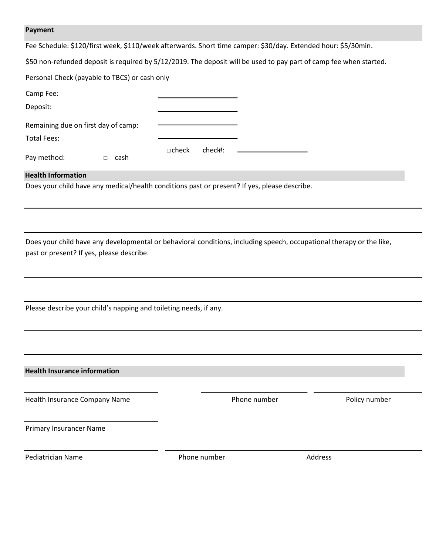#### **Payment**

Fee Schedule: \$120/first week, \$110/week afterwards. Short time camper: \$30/day. Extended hour: \$5/30min.

\$50 non-refunded deposit is required by 5/12/2019. The deposit will be used to pay part of camp fee when started.

Personal Check (payable to TBCS) or cash only

| Camp Fee:                           |                         |
|-------------------------------------|-------------------------|
| Deposit:                            |                         |
| Remaining due on first day of camp: |                         |
| Total Fees:                         |                         |
| Pay method:<br>cash                 | $\Box$ check<br>check#: |

#### **Health Information**

Does your child have any medical/health conditions past or present? If yes, please describe.

Does your child have any developmental or behavioral conditions, including speech, occupational therapy or the like, past or present? If yes, please describe.

Please describe your child's napping and toileting needs, if any.

**Health Insurance information**

Health Insurance Company Name **Phone number** Phone number Policy number

Primary Insurancer Name

Pediatrician Name **Phone number** Phone number **Address**